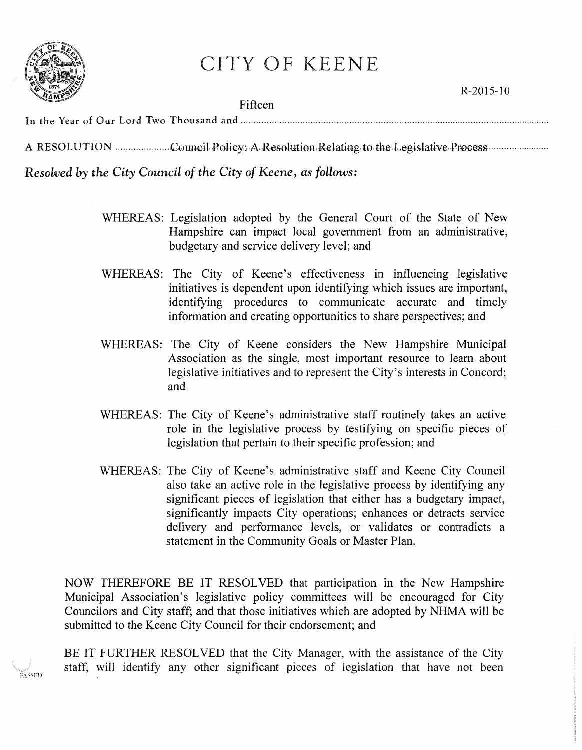

PASSED

## CITY OF KEENE

Fifteen

Resolved by the City Council of the City of Keene, as follows:

- WHEREAS: Legislation adopted by the General Court of the State of New Hampshire can impact local government from an administrative, budgetary and service delivery level; and
- WHEREAS: The City of Keene's effectiveness in influencing legislative initiatives is dependent upon identifying which issues are important, identifying procedures to communicate accurate and timely information and creating opportunities to share perspectives; and
- WHEREAS: The City of Keene considers the New Hampshire Municipal Association as the single, most important resource to learn about legislative initiatives and to represent the City's interests in Concord; and
- WHEREAS: The City of Keene's administrative staff routinely takes an active role in the legislative process by testifying on specific pieces of legislation that pertain to their specific profession; and
- WHEREAS: The City of Keene's administrative staff and Keene City Council also take an active role in the legislative process by identifying any significant pieces of legislation that either has a budgetary impact, significantly impacts City operations; enhances or detracts service delivery and performance levels, or validates or contradicts a statement in the Community Goals or Master Plan.

NOW THEREFORE BE IT RESOLVED that participation in the New Hampshire Municipal Association's legislative policy committees will be encouraged for City Councilors and City staff; and that those initiatives which are adopted by NHMA will be submitted to the Keene City Council for their endorsement; and

BE IT FURTHER RESOLVED that the City Manager, with the assistance of the City staff, will identify any other significant pieces of legislation that have not been